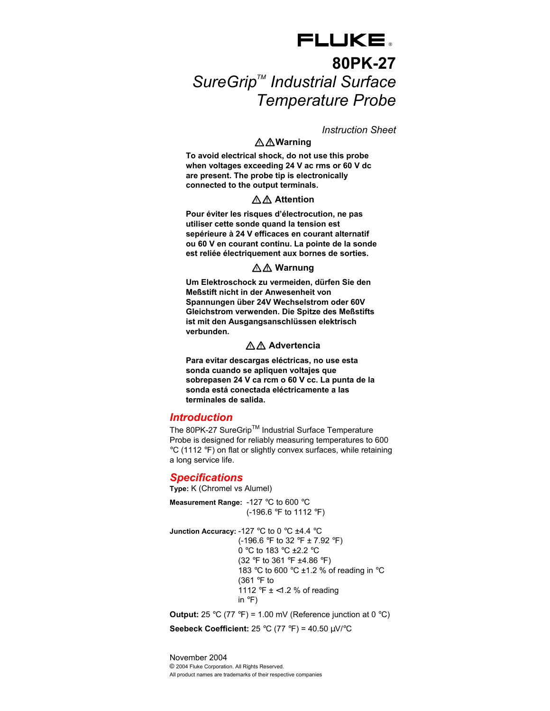# FLUKE. **80PK-27**  SureGrip<sup>™</sup> Industrial Surface *Temperature Probe*

*Instruction Sheet* 

# XW**Warning**

**To avoid electrical shock, do not use this probe when voltages exceeding 24 V ac rms or 60 V dc are present. The probe tip is electronically connected to the output terminals.** 

# XW **Attention**

**Pour éviter les risques d'électrocution, ne pas utiliser cette sonde quand la tension est sepérieure à 24 V efficaces en courant alternatif ou 60 V en courant continu. La pointe de la sonde est reliée électriquement aux bornes de sorties.** 

## AA Warnung

**Um Elektroschock zu vermeiden, dürfen Sie den Meßstift nicht in der Anwesenheit von Spannungen über 24V Wechselstrom oder 60V Gleichstrom verwenden. Die Spitze des Meßstifts ist mit den Ausgangsanschlüssen elektrisch verbunden.** 

## XW **Advertencia**

**Para evitar descargas eléctricas, no use esta sonda cuando se apliquen voltajes que sobrepasen 24 V ca rcm o 60 V cc. La punta de la sonda está conectada eléctricamente a las terminales de salida.** 

## *Introduction*

The 80PK-27 SureGrip™ Industrial Surface Temperature Probe is designed for reliably measuring temperatures to 600 °C (1112 °F) on flat or slightly convex surfaces, while retaining a long service life.

## *Specifications*

**Type:** K (Chromel vs Alumel)

**Measurement Range:** -127 °C to 600 °C (-196.6 °F to 1112 °F)

**Junction Accuracy:** -127 °C to 0 °C ±4.4 °C (-196.6 °F to 32 °F  $\pm$  7.92 °F) 0 °C to 183 °C ±2.2 °C (32 °F to 361 °F ±4.86 °F) 183 °C to 600 °C ±1.2 % of reading in °C (361 °F to 1112 °F ± <1.2 % of reading in °F)

**Output:** 25 °C (77 °F) = 1.00 mV (Reference junction at 0 °C) **Seebeck Coefficient:** 25 °C (77 °F) = 40.50 µV/°C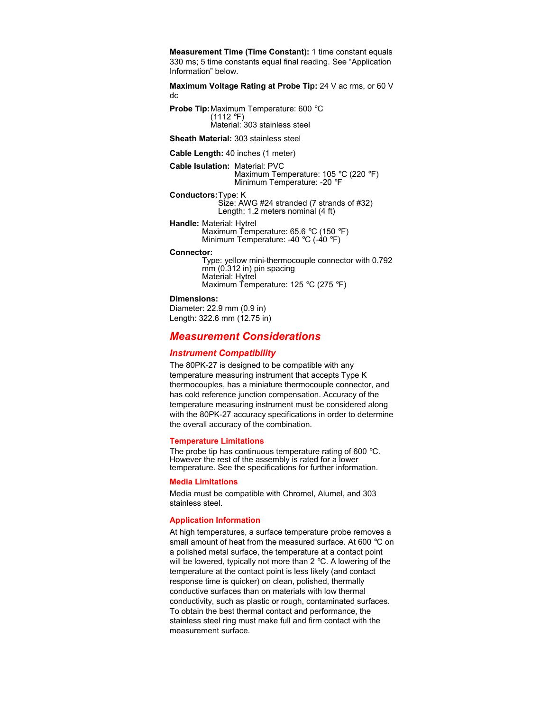**Measurement Time (Time Constant):** 1 time constant equals 330 ms; 5 time constants equal final reading. See "Application Information" below.

**Maximum Voltage Rating at Probe Tip:** 24 V ac rms, or 60 V dc

**Probe Tip:** Maximum Temperature: 600 °C (1112 °F) Material: 303 stainless steel

**Sheath Material:** 303 stainless steel

**Cable Length:** 40 inches (1 meter)

**Cable Isulation:** Material: PVC Maximum Temperature: 105 °C (220 °F) Minimum Temperature: -20 °F

**Conductors:** Type: K Size: AWG #24 stranded (7 strands of #32) Length: 1.2 meters nominal (4 ft)

**Handle:** Material: Hytrel Maximum Temperature: 65.6 °C (150 °F) Minimum Temperature: -40 °C (-40 °F)

#### **Connector:**

Type: yellow mini-thermocouple connector with 0.792 mm (0.312 in) pin spacing Material: Hytrel Maximum Temperature: 125 °C (275 °F)

#### **Dimensions:**

Diameter: 22.9 mm (0.9 in) Length: 322.6 mm (12.75 in)

# *Measurement Considerations*

## *Instrument Compatibility*

The 80PK-27 is designed to be compatible with any temperature measuring instrument that accepts Type K thermocouples, has a miniature thermocouple connector, and has cold reference junction compensation. Accuracy of the temperature measuring instrument must be considered along with the 80PK-27 accuracy specifications in order to determine the overall accuracy of the combination.

### **Temperature Limitations**

The probe tip has continuous temperature rating of 600 °C. However the rest of the assembly is rated for a lower temperature. See the specifications for further information.

### **Media Limitations**

Media must be compatible with Chromel, Alumel, and 303 stainless steel.

### **Application Information**

At high temperatures, a surface temperature probe removes a small amount of heat from the measured surface. At 600 °C on a polished metal surface, the temperature at a contact point will be lowered, typically not more than 2 °C. A lowering of the temperature at the contact point is less likely (and contact response time is quicker) on clean, polished, thermally conductive surfaces than on materials with low thermal conductivity, such as plastic or rough, contaminated surfaces. To obtain the best thermal contact and performance, the stainless steel ring must make full and firm contact with the measurement surface.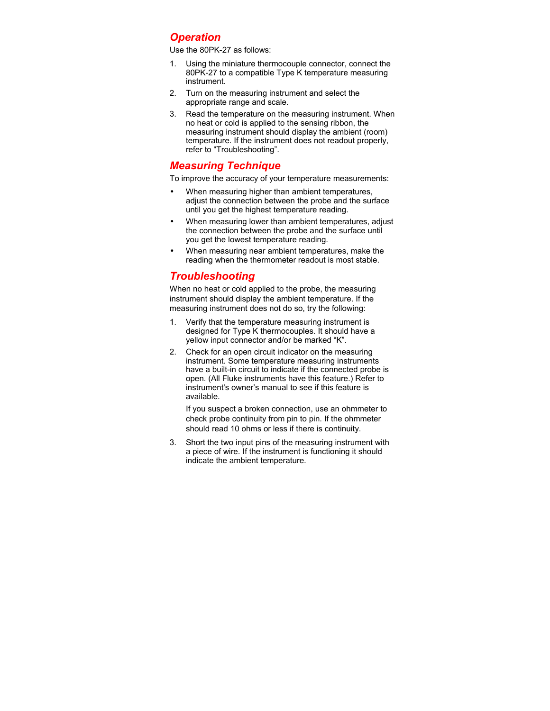# *Operation*

Use the 80PK-27 as follows:

- 1. Using the miniature thermocouple connector, connect the 80PK-27 to a compatible Type K temperature measuring instrument.
- 2. Turn on the measuring instrument and select the appropriate range and scale.
- 3. Read the temperature on the measuring instrument. When no heat or cold is applied to the sensing ribbon, the measuring instrument should display the ambient (room) temperature. If the instrument does not readout properly, refer to "Troubleshooting".

# *Measuring Technique*

To improve the accuracy of your temperature measurements:

- When measuring higher than ambient temperatures, adjust the connection between the probe and the surface until you get the highest temperature reading.
- When measuring lower than ambient temperatures, adjust the connection between the probe and the surface until you get the lowest temperature reading.
- When measuring near ambient temperatures, make the reading when the thermometer readout is most stable.

# *Troubleshooting*

When no heat or cold applied to the probe, the measuring instrument should display the ambient temperature. If the measuring instrument does not do so, try the following:

- 1. Verify that the temperature measuring instrument is designed for Type K thermocouples. It should have a yellow input connector and/or be marked "K".
- 2. Check for an open circuit indicator on the measuring instrument. Some temperature measuring instruments have a built-in circuit to indicate if the connected probe is open. (All Fluke instruments have this feature.) Refer to instrument's owner's manual to see if this feature is available.

If you suspect a broken connection, use an ohmmeter to check probe continuity from pin to pin. If the ohmmeter should read 10 ohms or less if there is continuity.

3. Short the two input pins of the measuring instrument with a piece of wire. If the instrument is functioning it should indicate the ambient temperature.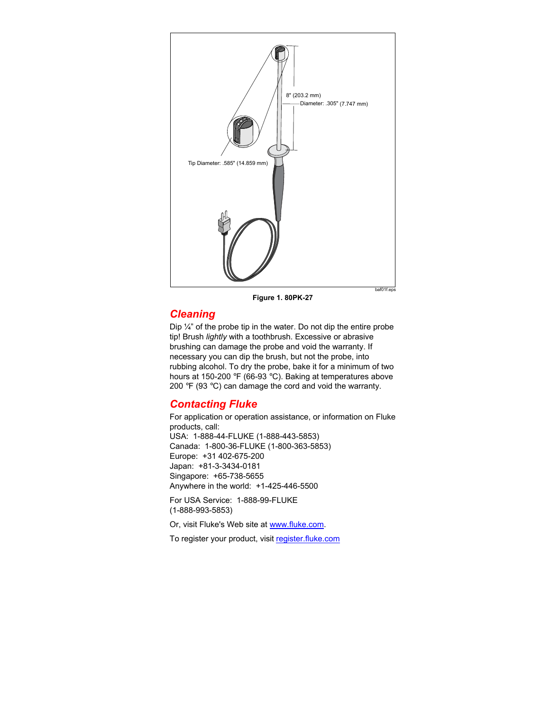

**Figure 1. 80PK-27** 

# *Cleaning*

Dip ¼" of the probe tip in the water. Do not dip the entire probe tip! Brush *lightly* with a toothbrush. Excessive or abrasive brushing can damage the probe and void the warranty. If necessary you can dip the brush, but not the probe, into rubbing alcohol. To dry the probe, bake it for a minimum of two hours at 150-200 °F (66-93 °C). Baking at temperatures above 200  $\degree$ F (93  $\degree$ C) can damage the cord and void the warranty.

# *Contacting Fluke*

For application or operation assistance, or information on Fluke products, call: USA: 1-888-44-FLUKE (1-888-443-5853) Canada: 1-800-36-FLUKE (1-800-363-5853) Europe: +31 402-675-200 Japan: +81-3-3434-0181 Singapore: +65-738-5655 Anywhere in the world: +1-425-446-5500 For USA Service: 1-888-99-FLUKE

(1-888-993-5853)

Or, visit Fluke's Web site at www.fluke.com.

To register your product, visit register.fluke.com